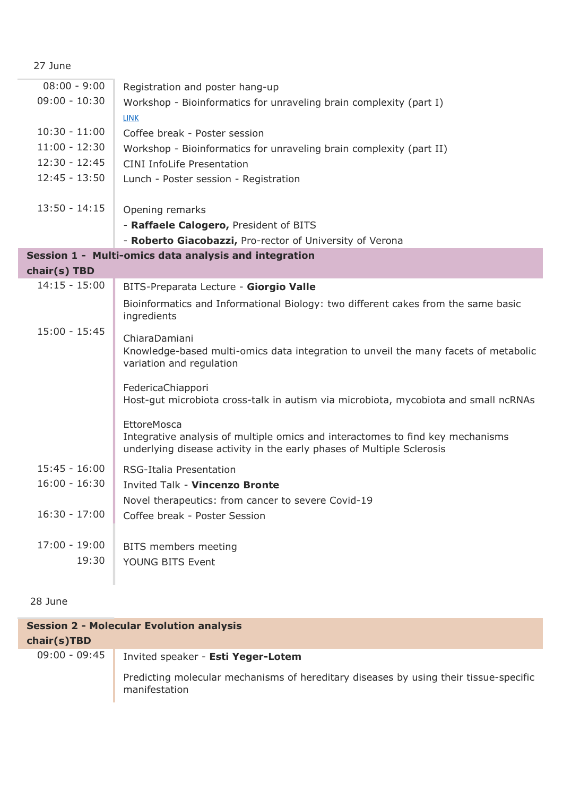|  | × |
|--|---|
|--|---|

| $08:00 - 9:00$  | Registration and poster hang-up                                                                                                                                        |
|-----------------|------------------------------------------------------------------------------------------------------------------------------------------------------------------------|
| $09:00 - 10:30$ | Workshop - Bioinformatics for unraveling brain complexity (part I)                                                                                                     |
|                 | <b>LINK</b>                                                                                                                                                            |
| $10:30 - 11:00$ | Coffee break - Poster session                                                                                                                                          |
| $11:00 - 12:30$ | Workshop - Bioinformatics for unraveling brain complexity (part II)                                                                                                    |
| $12:30 - 12:45$ | <b>CINI InfoLife Presentation</b>                                                                                                                                      |
| $12:45 - 13:50$ | Lunch - Poster session - Registration                                                                                                                                  |
|                 |                                                                                                                                                                        |
| $13:50 - 14:15$ | Opening remarks                                                                                                                                                        |
|                 | - Raffaele Calogero, President of BITS                                                                                                                                 |
|                 | - Roberto Giacobazzi, Pro-rector of University of Verona                                                                                                               |
|                 | Session 1 - Multi-omics data analysis and integration                                                                                                                  |
| chair(s) TBD    |                                                                                                                                                                        |
| $14:15 - 15:00$ | BITS-Preparata Lecture - Giorgio Valle                                                                                                                                 |
|                 | Bioinformatics and Informational Biology: two different cakes from the same basic<br>ingredients                                                                       |
| $15:00 - 15:45$ | ChiaraDamiani<br>Knowledge-based multi-omics data integration to unveil the many facets of metabolic<br>variation and regulation                                       |
|                 | FedericaChiappori<br>Host-gut microbiota cross-talk in autism via microbiota, mycobiota and small ncRNAs                                                               |
|                 | EttoreMosca<br>Integrative analysis of multiple omics and interactomes to find key mechanisms<br>underlying disease activity in the early phases of Multiple Sclerosis |
| $15:45 - 16:00$ | RSG-Italia Presentation                                                                                                                                                |
| $16:00 - 16:30$ | <b>Invited Talk - Vincenzo Bronte</b>                                                                                                                                  |
|                 | Novel therapeutics: from cancer to severe Covid-19                                                                                                                     |
| $16:30 - 17:00$ | Coffee break - Poster Session                                                                                                                                          |
|                 |                                                                                                                                                                        |
| $17:00 - 19:00$ | BITS members meeting                                                                                                                                                   |
| 19:30           | YOUNG BITS Event                                                                                                                                                       |
|                 |                                                                                                                                                                        |
|                 |                                                                                                                                                                        |

28 June

| <b>Session 2 - Molecular Evolution analysis</b> |                                                                                                        |
|-------------------------------------------------|--------------------------------------------------------------------------------------------------------|
| chair(s)TBD                                     |                                                                                                        |
| $09:00 - 09:45$                                 | Invited speaker - Esti Yeger-Lotem                                                                     |
|                                                 | Predicting molecular mechanisms of hereditary diseases by using their tissue-specific<br>manifestation |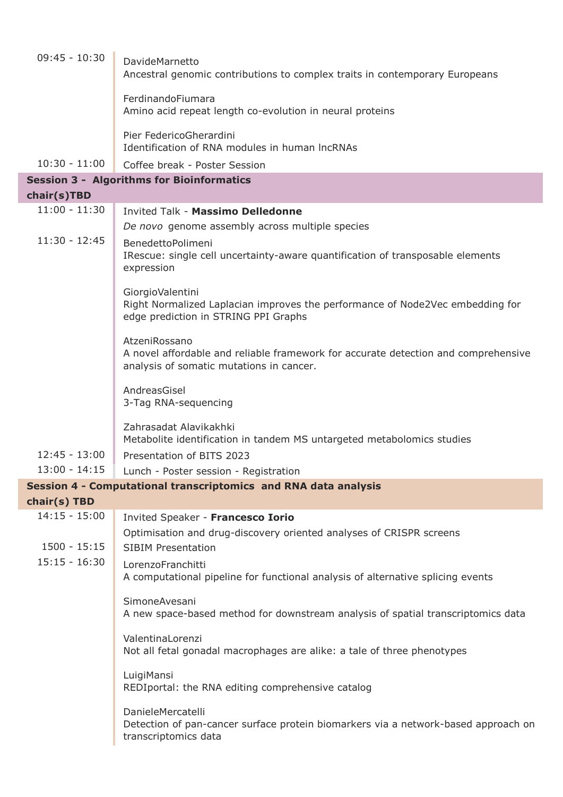| $09:45 - 10:30$ | DavideMarnetto<br>Ancestral genomic contributions to complex traits in contemporary Europeans                                                   |  |
|-----------------|-------------------------------------------------------------------------------------------------------------------------------------------------|--|
|                 | FerdinandoFiumara<br>Amino acid repeat length co-evolution in neural proteins                                                                   |  |
|                 | Pier FedericoGherardini<br>Identification of RNA modules in human IncRNAs                                                                       |  |
| $10:30 - 11:00$ | Coffee break - Poster Session                                                                                                                   |  |
|                 | <b>Session 3 - Algorithms for Bioinformatics</b>                                                                                                |  |
| chair(s)TBD     |                                                                                                                                                 |  |
| $11:00 - 11:30$ | <b>Invited Talk - Massimo Delledonne</b>                                                                                                        |  |
|                 | De novo genome assembly across multiple species                                                                                                 |  |
| $11:30 - 12:45$ | BenedettoPolimeni<br>IRescue: single cell uncertainty-aware quantification of transposable elements<br>expression                               |  |
|                 | GiorgioValentini<br>Right Normalized Laplacian improves the performance of Node2Vec embedding for<br>edge prediction in STRING PPI Graphs       |  |
|                 | AtzeniRossano<br>A novel affordable and reliable framework for accurate detection and comprehensive<br>analysis of somatic mutations in cancer. |  |
|                 | AndreasGisel<br>3-Tag RNA-sequencing                                                                                                            |  |
|                 | Zahrasadat Alavikakhki<br>Metabolite identification in tandem MS untargeted metabolomics studies                                                |  |
| $12:45 - 13:00$ | Presentation of BITS 2023                                                                                                                       |  |
| $13:00 - 14:15$ | Lunch - Poster session - Registration                                                                                                           |  |
|                 | Session 4 - Computational transcriptomics and RNA data analysis                                                                                 |  |
| chair(s) TBD    |                                                                                                                                                 |  |
| $14:15 - 15:00$ | Invited Speaker - Francesco Iorio                                                                                                               |  |
| $1500 - 15:15$  | Optimisation and drug-discovery oriented analyses of CRISPR screens<br><b>SIBIM Presentation</b>                                                |  |
| $15:15 - 16:30$ | LorenzoFranchitti<br>A computational pipeline for functional analysis of alternative splicing events                                            |  |
|                 | SimoneAvesani<br>A new space-based method for downstream analysis of spatial transcriptomics data                                               |  |
|                 | ValentinaLorenzi<br>Not all fetal gonadal macrophages are alike: a tale of three phenotypes                                                     |  |
|                 | LuigiMansi<br>REDIportal: the RNA editing comprehensive catalog                                                                                 |  |
|                 | DanieleMercatelli<br>Detection of pan-cancer surface protein biomarkers via a network-based approach on<br>transcriptomics data                 |  |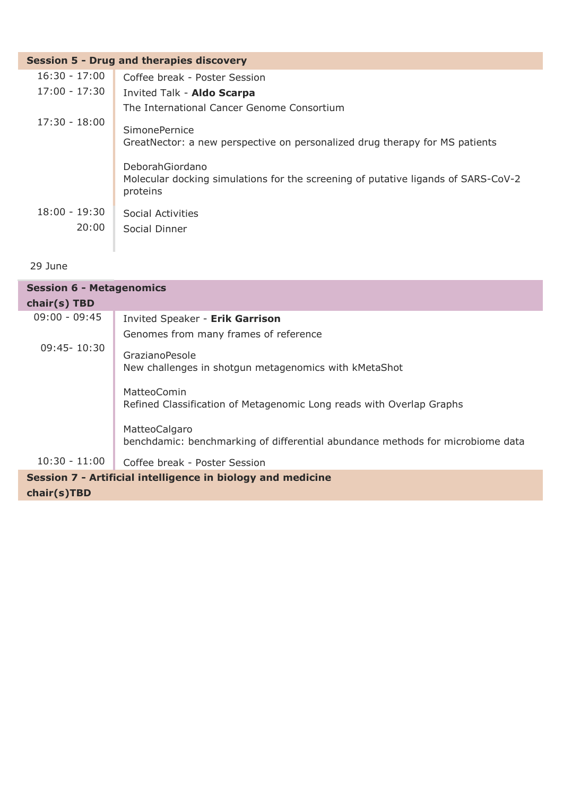| <b>Session 5 - Drug and therapies discovery</b> |                                                                                                                  |  |
|-------------------------------------------------|------------------------------------------------------------------------------------------------------------------|--|
| $16:30 - 17:00$                                 | Coffee break - Poster Session                                                                                    |  |
| $17:00 - 17:30$                                 | Invited Talk - Aldo Scarpa                                                                                       |  |
|                                                 | The International Cancer Genome Consortium                                                                       |  |
| 17:30 - 18:00                                   | SimonePernice<br>GreatNector: a new perspective on personalized drug therapy for MS patients                     |  |
|                                                 | DeborahGiordano<br>Molecular docking simulations for the screening of putative ligands of SARS-CoV-2<br>proteins |  |
| $18:00 - 19:30$                                 | Social Activities                                                                                                |  |
| 20:00                                           | Social Dinner                                                                                                    |  |

## 29 June

| <b>Session 6 - Metagenomics</b>                             |                                                                                                 |
|-------------------------------------------------------------|-------------------------------------------------------------------------------------------------|
| chair(s) TBD                                                |                                                                                                 |
| $09:00 - 09:45$                                             | <b>Invited Speaker - Erik Garrison</b>                                                          |
|                                                             | Genomes from many frames of reference                                                           |
| $09:45 - 10:30$                                             | <b>GrazianoPesole</b><br>New challenges in shotgun metagenomics with kMetaShot                  |
|                                                             | MatteoComin<br>Refined Classification of Metagenomic Long reads with Overlap Graphs             |
|                                                             | MatteoCalgaro<br>benchdamic: benchmarking of differential abundance methods for microbiome data |
| $10:30 - 11:00$                                             | Coffee break - Poster Session                                                                   |
| Session 7 - Artificial intelligence in biology and medicine |                                                                                                 |
| chair(s)TBD                                                 |                                                                                                 |